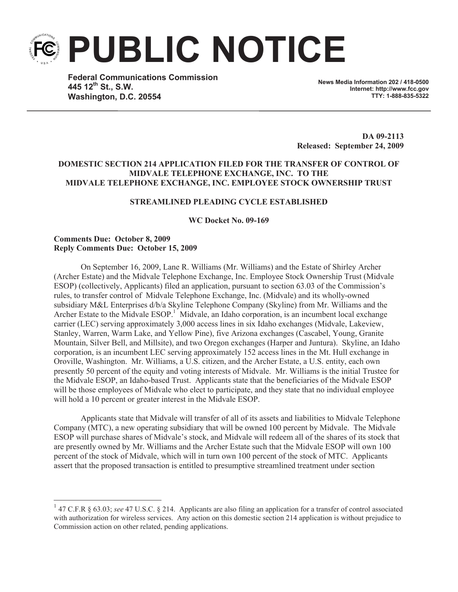**PUBLIC NOTICE**

**Federal Communications Commission 445 12th St., S.W. Washington, D.C. 20554**

**News Media Information 202 / 418-0500 Internet: http://www.fcc.gov TTY: 1-888-835-5322**

**DA 09-2113 Released: September 24, 2009**

## **DOMESTIC SECTION 214 APPLICATION FILED FOR THE TRANSFER OF CONTROL OF MIDVALE TELEPHONE EXCHANGE, INC. TO THE MIDVALE TELEPHONE EXCHANGE, INC. EMPLOYEE STOCK OWNERSHIP TRUST**

#### **STREAMLINED PLEADING CYCLE ESTABLISHED**

**WC Docket No. 09-169**

#### **Comments Due: October 8, 2009 Reply Comments Due: October 15, 2009**

On September 16, 2009, Lane R. Williams (Mr. Williams) and the Estate of Shirley Archer (Archer Estate) and the Midvale Telephone Exchange, Inc. Employee Stock Ownership Trust (Midvale ESOP) (collectively, Applicants) filed an application, pursuant to section 63.03 of the Commission's rules, to transfer control of Midvale Telephone Exchange, Inc. (Midvale) and its wholly-owned subsidiary M&L Enterprises d/b/a Skyline Telephone Company (Skyline) from Mr. Williams and the Archer Estate to the Midvale ESOP.<sup>1</sup> Midvale, an Idaho corporation, is an incumbent local exchange carrier (LEC) serving approximately 3,000 access lines in six Idaho exchanges (Midvale, Lakeview, Stanley, Warren, Warm Lake, and Yellow Pine), five Arizona exchanges (Cascabel, Young, Granite Mountain, Silver Bell, and Millsite), and two Oregon exchanges (Harper and Juntura). Skyline, an Idaho corporation, is an incumbent LEC serving approximately 152 access lines in the Mt. Hull exchange in Oroville, Washington. Mr. Williams, a U.S. citizen, and the Archer Estate, a U.S. entity, each own presently 50 percent of the equity and voting interests of Midvale. Mr. Williams is the initial Trustee for the Midvale ESOP, an Idaho-based Trust. Applicants state that the beneficiaries of the Midvale ESOP will be those employees of Midvale who elect to participate, and they state that no individual employee will hold a 10 percent or greater interest in the Midvale ESOP.

Applicants state that Midvale will transfer of all of its assets and liabilities to Midvale Telephone Company (MTC), a new operating subsidiary that will be owned 100 percent by Midvale. The Midvale ESOP will purchase shares of Midvale's stock, and Midvale will redeem all of the shares of its stock that are presently owned by Mr. Williams and the Archer Estate such that the Midvale ESOP will own 100 percent of the stock of Midvale, which will in turn own 100 percent of the stock of MTC. Applicants assert that the proposed transaction is entitled to presumptive streamlined treatment under section

<sup>&</sup>lt;sup>1</sup> 47 C.F.R § 63.03; see 47 U.S.C. § 214. Applicants are also filing an application for a transfer of control associated with authorization for wireless services. Any action on this domestic section 214 application is without prejudice to Commission action on other related, pending applications.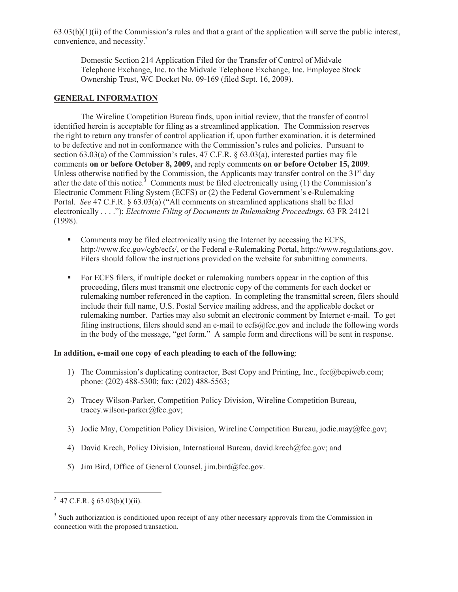$63.03(b)(1)(ii)$  of the Commission's rules and that a grant of the application will serve the public interest, convenience, and necessity. 2

Domestic Section 214 Application Filed for the Transfer of Control of Midvale Telephone Exchange, Inc. to the Midvale Telephone Exchange, Inc. Employee Stock Ownership Trust, WC Docket No. 09-169 (filed Sept. 16, 2009).

# **GENERAL INFORMATION**

The Wireline Competition Bureau finds, upon initial review, that the transfer of control identified herein is acceptable for filing as a streamlined application. The Commission reserves the right to return any transfer of control application if, upon further examination, it is determined to be defective and not in conformance with the Commission's rules and policies. Pursuant to section 63.03(a) of the Commission's rules, 47 C.F.R.  $\S$  63.03(a), interested parties may file comments **on or before October 8, 2009,** and reply comments **on or before October 15, 2009**. Unless otherwise notified by the Commission, the Applicants may transfer control on the  $31<sup>st</sup>$  day after the date of this notice.<sup>3</sup> Comments must be filed electronically using  $(1)$  the Commission's Electronic Comment Filing System (ECFS) or (2) the Federal Government's e-Rulemaking Portal. *See* 47 C.F.R. § 63.03(a) ("All comments on streamlined applications shall be filed electronically . . . ."); *Electronic Filing of Documents in Rulemaking Proceedings*, 63 FR 24121 (1998).

- Comments may be filed electronically using the Internet by accessing the ECFS, http://www.fcc.gov/cgb/ecfs/, or the Federal e-Rulemaking Portal, http://www.regulations.gov. Filers should follow the instructions provided on the website for submitting comments.
- For ECFS filers, if multiple docket or rulemaking numbers appear in the caption of this proceeding, filers must transmit one electronic copy of the comments for each docket or rulemaking number referenced in the caption. In completing the transmittal screen, filers should include their full name, U.S. Postal Service mailing address, and the applicable docket or rulemaking number. Parties may also submit an electronic comment by Internet e-mail. To get filing instructions, filers should send an e-mail to ecfs@fcc.gov and include the following words in the body of the message, "get form." A sample form and directions will be sent in response.

### **In addition, e-mail one copy of each pleading to each of the following**:

- 1) The Commission's duplicating contractor, Best Copy and Printing, Inc., fcc@bcpiweb.com; phone: (202) 488-5300; fax: (202) 488-5563;
- 2) Tracey Wilson-Parker, Competition Policy Division, Wireline Competition Bureau, tracey.wilson-parker@fcc.gov;
- 3) Jodie May, Competition Policy Division, Wireline Competition Bureau, jodie.may@fcc.gov;
- 4) David Krech, Policy Division, International Bureau, david.krech@fcc.gov; and
- 5) Jim Bird, Office of General Counsel, jim.bird@fcc.gov.

<sup>&</sup>lt;sup>2</sup> 47 C.F.R. § 63.03(b)(1)(ii).

 $3$  Such authorization is conditioned upon receipt of any other necessary approvals from the Commission in connection with the proposed transaction.